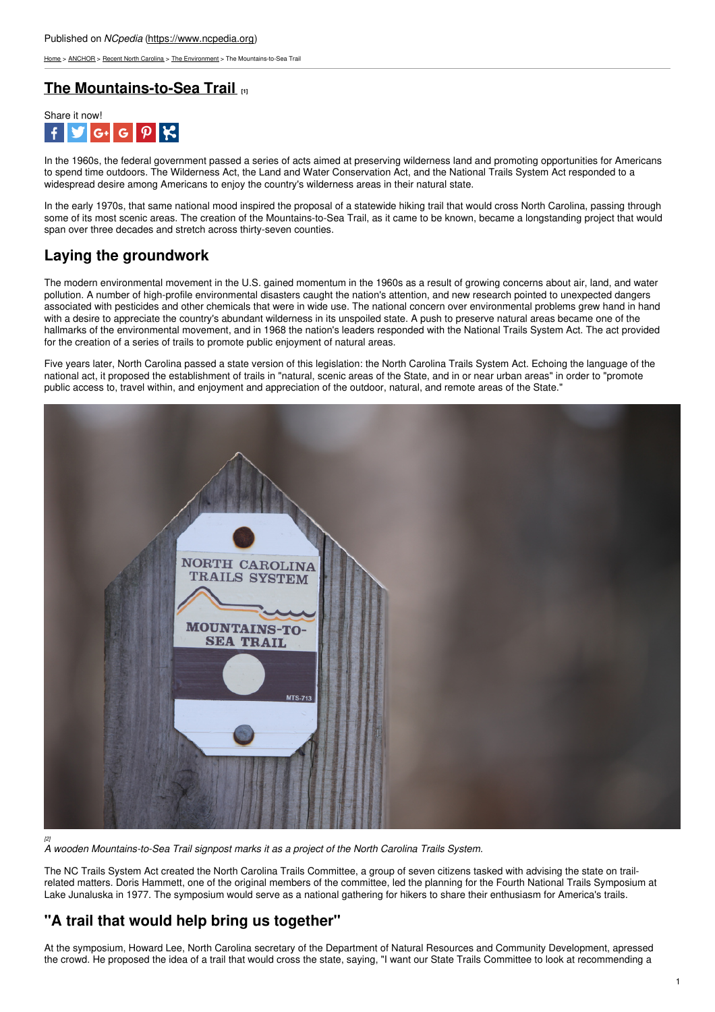[Home](https://www.ncpedia.org/) > [ANCHOR](https://www.ncpedia.org/anchor/anchor) > Recent North [Carolina](https://www.ncpedia.org/anchor/recent-north-carolina) > The [Environment](https://www.ncpedia.org/anchor/environment) > The Mountains-to-Sea Trail

#### **The [Mountains-to-Sea](https://www.ncpedia.org/anchor/mountains-sea-trail) Trail [1]**



In the 1960s, the federal government passed a series of acts aimed at preserving wilderness land and promoting opportunities for Americans to spend time outdoors. The Wilderness Act, the Land and Water Conservation Act, and the National Trails System Act responded to a widespread desire among Americans to enjoy the country's wilderness areas in their natural state.

In the early 1970s, that same national mood inspired the proposal of a statewide hiking trail that would cross North Carolina, passing through some of its most scenic areas. The creation of the Mountains-to-Sea Trail, as it came to be known, became a longstanding project that would span over three decades and stretch across thirty-seven counties.

# **Laying the groundwork**

The modern environmental movement in the U.S. [gained](http://www.social9.com) momentum in the 1960s as a result of growing concerns about air, land, and water pollution. A number of high-profile environmental disasters caught the nation's attention, and new research pointed to unexpected dangers associated with pesticides and other chemicals that were in wide use. The national concern over environmental problems grew hand in hand with a desire to appreciate the country's abundant wilderness in its unspoiled state. A push to preserve natural areas became one of the hallmarks of the environmental movement, and in 1968 the nation's leaders responded with the National Trails System Act. The act provided for the creation of a series of trails to promote public enjoyment of natural areas.

Five years later, North Carolina passed a state version of this legislation: the North Carolina Trails System Act. Echoing the language of the national act, it proposed the establishment of trails in "natural, scenic areas of the State, and in or near urban areas" in order to "promote public access to, travel within, and enjoyment and appreciation of the outdoor, natural, and remote areas of the State."



*A wooden Mountains-to-Sea Trail signpost marks it as a project of the North Carolina Trails System.*

The NC Trails System Act created the North Carolina Trails Committee, a group of seven citizens tasked with advising the state on trailrelated matters. Doris Hammett, one of the original members of the committee, led the planning for the Fourth National Trails Symposium at Lake Junaluska in 1977. The symposium would serve as a national gathering for hikers to share their enthusiasm for America's trails.

## **"A trail that would help bring us together"**

At the symposium, Howard Lee, North Carolina secretary of the Department of Natural Resources and Community Development, apressed the crowd. He proposed the idea of a trail that would cross the state, saying, "I want our State Trails Committee to look at recommending a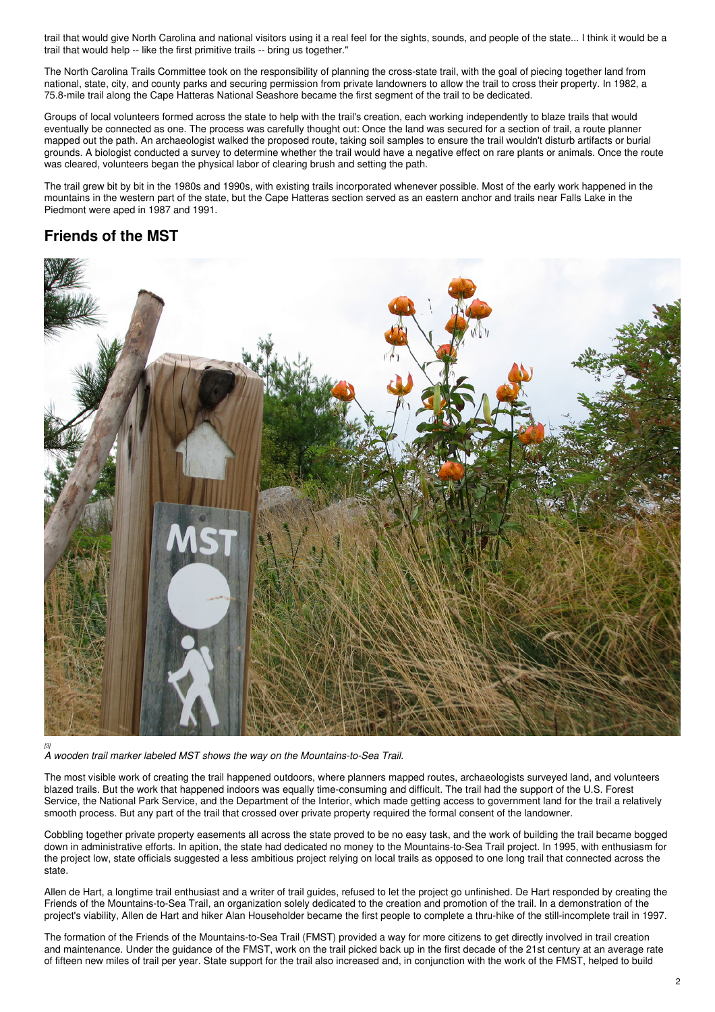trail that would give North Carolina and national visitors using it a real feel for the sights, sounds, and people of the state... I think it would be a trail that would help -- like the first primitive trails -- bring us together."

The North Carolina Trails Committee took on the responsibility of planning the cross-state trail, with the goal of piecing together land from national, state, city, and county parks and securing permission from private landowners to allow the trail to cross their property. In 1982, a 75.8-mile trail along the Cape Hatteras National Seashore became the first segment of the trail to be dedicated.

Groups of local volunteers formed across the state to help with the trail's creation, each working independently to blaze trails that would eventually be connected as one. The process was carefully thought out: Once the land was secured for a section of trail, a route planner mapped out the path. An archaeologist walked the proposed route, taking soil samples to ensure the trail wouldn't disturb artifacts or burial grounds. A biologist conducted a survey to determine whether the trail would have a negative effect on rare plants or animals. Once the route was cleared, volunteers began the physical labor of clearing brush and setting the path.

The trail grew bit by bit in the 1980s and 1990s, with existing trails incorporated whenever possible. Most of the early work happened in the mountains in the western part of the state, but the Cape Hatteras section served as an eastern anchor and trails near Falls Lake in the Piedmont were aped in 1987 and 1991.

## **Friends of the MST**



*A wooden trail marker labeled MST shows the way on the Mountains-to-Sea Trail.*

The most visible work of creating the trail happened outdoors, where planners mapped routes, archaeologists surveyed land, and volunteers blazed trails. But the work that happened indoors was equally time-consuming and difficult. The trail had the support of the U.S. Forest Service, the National Park Service, and the Department of the Interior, which made getting access to government land for the trail a relatively smooth process. But any part of the trail that crossed over private property required the formal consent of the landowner.

Cobbling together private property easements all across the state proved to be no easy task, and the work of building the trail became bogged down in administrative efforts. In apition, the state had dedicated no money to the Mountains-to-Sea Trail project. In 1995, with enthusiasm for the project low, state officials suggested a less ambitious project relying on local trails as opposed to one long trail that connected across the state.

Allen de Hart, a longtime trail enthusiast and a writer of trail guides, refused to let the project go unfinished. De Hart responded by creating the Friends of the Mountains-to-Sea Trail, an organization solely dedicated to the creation and promotion of the trail. In a demonstration of the project's viability, Allen de Hart and hiker Alan Householder became the first people to complete a thru-hike of the still-incomplete trail in 1997.

The formation of the Friends of the Mountains-to-Sea Trail (FMST) provided a way for more citizens to get directly involved in trail creation and maintenance. Under the guidance of the FMST, work on the trail picked back up in the first decade of the 21st century at an average rate of fifteen new miles of trail per year. State support for the trail also increased and, in conjunction with the work of the FMST, helped to build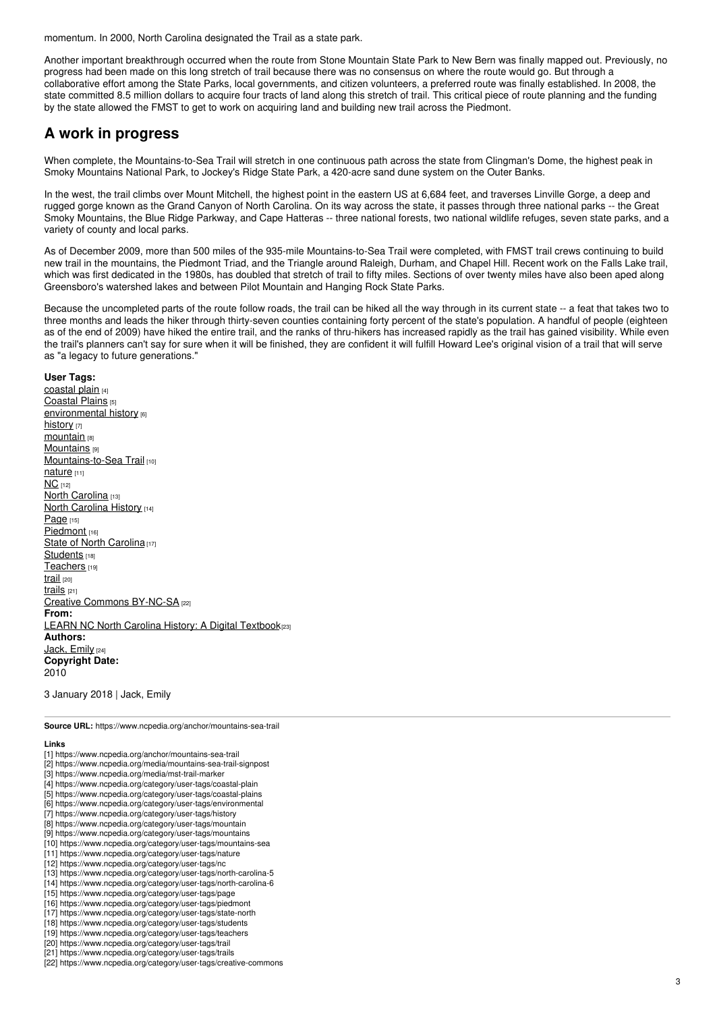momentum. In 2000, North Carolina designated the Trail as a state park.

Another important breakthrough occurred when the route from Stone Mountain State Park to New Bern was finally mapped out. Previously, no progress had been made on this long stretch of trail because there was no consensus on where the route would go. But through a collaborative effort among the State Parks, local governments, and citizen volunteers, a preferred route was finally established. In 2008, the state committed 8.5 million dollars to acquire four tracts of land along this stretch of trail. This critical piece of route planning and the funding by the state allowed the FMST to get to work on acquiring land and building new trail across the Piedmont.

### **A work in progress**

When complete, the Mountains-to-Sea Trail will stretch in one continuous path across the state from Clingman's Dome, the highest peak in Smoky Mountains National Park, to Jockey's Ridge State Park, a 420-acre sand dune system on the Outer Banks.

In the west, the trail climbs over Mount Mitchell, the highest point in the eastern US at 6,684 feet, and traverses Linville Gorge, a deep and rugged gorge known as the Grand Canyon of North Carolina. On its way across the state, it passes through three national parks -- the Great Smoky Mountains, the Blue Ridge Parkway, and Cape Hatteras -- three national forests, two national wildlife refuges, seven state parks, and a variety of county and local parks.

As of December 2009, more than 500 miles of the 935-mile Mountains-to-Sea Trail were completed, with FMST trail crews continuing to build new trail in the mountains, the Piedmont Triad, and the Triangle around Raleigh, Durham, and Chapel Hill. Recent work on the Falls Lake trail, which was first dedicated in the 1980s, has doubled that stretch of trail to fifty miles. Sections of over twenty miles have also been aped along Greensboro's watershed lakes and between Pilot Mountain and Hanging Rock State Parks.

Because the uncompleted parts of the route follow roads, the trail can be hiked all the way through in its current state -- a feat that takes two to three months and leads the hiker through thirty-seven counties containing forty percent of the state's population. A handful of people (eighteen as of the end of 2009) have hiked the entire trail, and the ranks of thru-hikers has increased rapidly as the trail has gained visibility. While even the trail's planners can't say for sure when it will be finished, they are confident it will fulfill Howard Lee's original vision of a trail that will serve as "a legacy to future generations."

#### **User Tags:**

[coastal](https://www.ncpedia.org/category/user-tags/coastal-plain) plain [4] [Coastal](https://www.ncpedia.org/category/user-tags/coastal-plains) Plains [5] [environmental](https://www.ncpedia.org/category/user-tags/environmental) history [6] [history](https://www.ncpedia.org/category/user-tags/history) [7] [mountain](https://www.ncpedia.org/category/user-tags/mountain) [8] **[Mountains](https://www.ncpedia.org/category/user-tags/mountains)** [9] [Mountains-to-Sea](https://www.ncpedia.org/category/user-tags/mountains-sea) Trail [10] [nature](https://www.ncpedia.org/category/user-tags/nature) [11]  $NC$  [12] North [Carolina](https://www.ncpedia.org/category/user-tags/north-carolina-5) [13] North [Carolina](https://www.ncpedia.org/category/user-tags/north-carolina-6) History [14] [Page](https://www.ncpedia.org/category/user-tags/page) [15] [Piedmont](https://www.ncpedia.org/category/user-tags/piedmont) [16] State of North [Carolina](https://www.ncpedia.org/category/user-tags/state-north) [17] [Students](https://www.ncpedia.org/category/user-tags/students) [18] [Teachers](https://www.ncpedia.org/category/user-tags/teachers) [19] [trail](https://www.ncpedia.org/category/user-tags/trail) [20] [trails](https://www.ncpedia.org/category/user-tags/trails) [21] Creative Commons [BY-NC-SA](https://www.ncpedia.org/category/user-tags/creative-commons) [22] **From:** LEARN NC North Carolina History: A Digital [Textbook](https://www.ncpedia.org/category/entry-source/learn-nc)(23) **Authors:** Jack, [Emily](https://www.ncpedia.org/category/authors/jack-emily) [24] **Copyright Date:** 2010

3 January 2018 | Jack, Emily

**Source URL:** https://www.ncpedia.org/anchor/mountains-sea-trail

#### **Links**

- [1] https://www.ncpedia.org/anchor/mountains-sea-trail
- [2] https://www.ncpedia.org/media/mountains-sea-trail-signpost
- [3] https://www.ncpedia.org/media/mst-trail-marker
- [4] https://www.ncpedia.org/category/user-tags/coastal-plain
- [5] https://www.ncpedia.org/category/user-tags/coastal-plains
- [6] https://www.ncpedia.org/category/user-tags/environmental
- [7] https://www.ncpedia.org/category/user-tags/history
- [8] https://www.ncpedia.org/category/user-tags/mountain
- [9] https://www.ncpedia.org/category/user-tags/mountains [10] https://www.ncpedia.org/category/user-tags/mountains-sea
- [11] https://www.ncpedia.org/category/user-tags/nature
- [12] https://www.ncpedia.org/category/user-tags/nc
- [13] https://www.ncpedia.org/category/user-tags/north-carolina-5
- [14] https://www.ncpedia.org/category/user-tags/north-carolina-6
- [15] https://www.ncpedia.org/category/user-tags/page
- [16] https://www.ncpedia.org/category/user-tags/piedmont
- [17] https://www.ncpedia.org/category/user-tags/state-north
- [18] https://www.ncpedia.org/category/user-tags/students
- [19] https://www.ncpedia.org/category/user-tags/teachers
- [20] https://www.ncpedia.org/category/user-tags/trail
- [21] https://www.ncpedia.org/category/user-tags/trails
- [22] https://www.ncpedia.org/category/user-tags/creative-commons